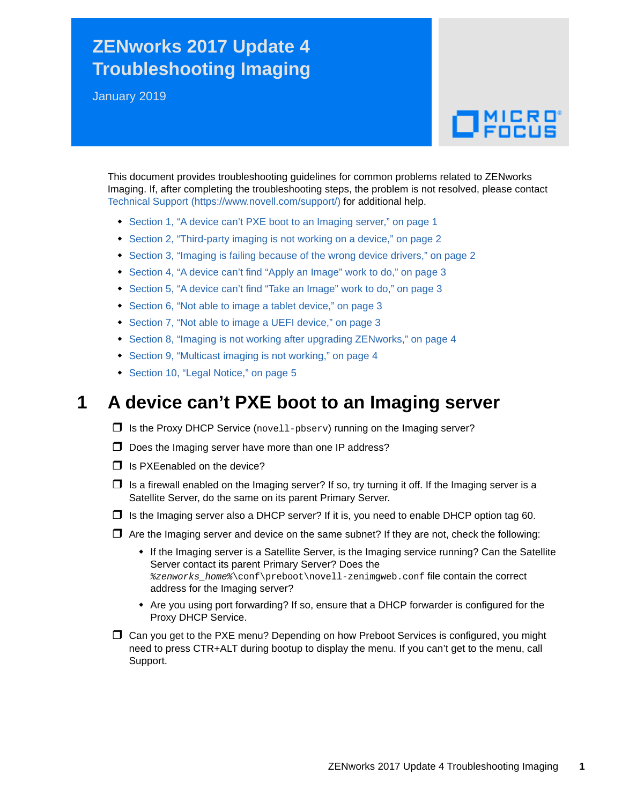# **ZENworks 2017 Update 4 Troubleshooting Imaging**

January 2019

# $\Box$ MICRO

This document provides troubleshooting guidelines for common problems related to ZENworks Imaging. If, after completing the troubleshooting steps, the problem is not resolved, please contact [Technical Support](https://www.novell.com/support/) (https://www.novell.com/support/) for additional help.

- [Section 1, "A device can't PXE boot to an Imaging server," on page 1](#page-0-0)
- [Section 2, "Third-party imaging is not working on a device," on page 2](#page-1-0)
- [Section 3, "Imaging is failing because of the wrong device drivers," on page 2](#page-1-1)
- [Section 4, "A device can't find "Apply an Image" work to do," on page 3](#page-2-0)
- [Section 5, "A device can't find "Take an Image" work to do," on page 3](#page-2-1)
- [Section 6, "Not able to image a tablet device," on page 3](#page-2-2)
- [Section 7, "Not able to image a UEFI device," on page 3](#page-2-3)
- [Section 8, "Imaging is not working after upgrading ZENworks," on page 4](#page-3-0)
- [Section 9, "Multicast imaging is not working," on page 4](#page-3-1)
- ◆ [Section 10, "Legal Notice," on page 5](#page-4-0)

#### <span id="page-0-0"></span>**1 A device can't PXE boot to an Imaging server**

- $\Box$  Is the Proxy DHCP Service (novell-pbserv) running on the Imaging server?
- $\Box$  Does the Imaging server have more than one IP address?
- $\Box$  Is PXEenabled on the device?
- $\Box$  Is a firewall enabled on the Imaging server? If so, try turning it off. If the Imaging server is a Satellite Server, do the same on its parent Primary Server.
- $\Box$  Is the Imaging server also a DHCP server? If it is, you need to enable DHCP option tag 60.
- $\Box$  Are the Imaging server and device on the same subnet? If they are not, check the following:
	- If the Imaging server is a Satellite Server, is the Imaging service running? Can the Satellite Server contact its parent Primary Server? Does the *%zenworks\_home%*\conf\preboot\novell-zenimgweb.conf file contain the correct address for the Imaging server?
	- Are you using port forwarding? If so, ensure that a DHCP forwarder is configured for the Proxy DHCP Service.
- Can you get to the PXE menu? Depending on how Preboot Services is configured, you might need to press CTR+ALT during bootup to display the menu. If you can't get to the menu, call Support.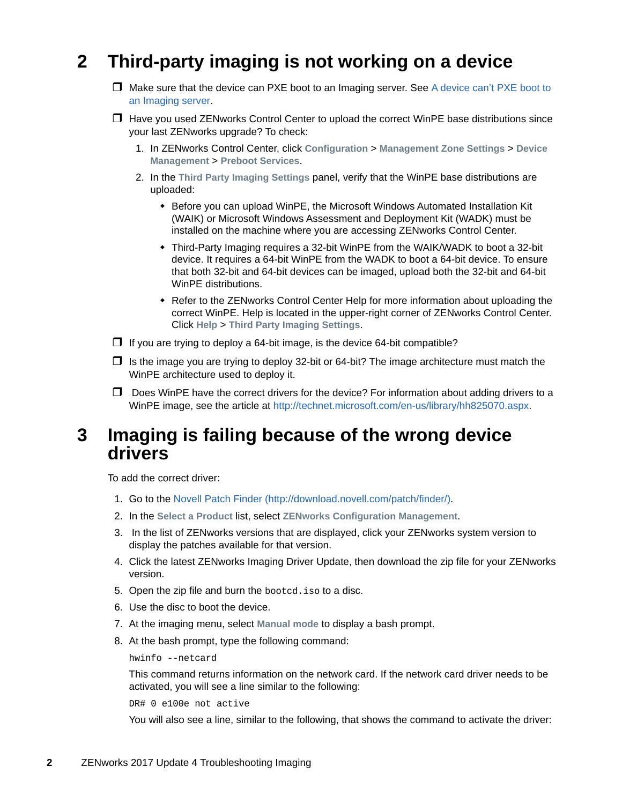# <span id="page-1-0"></span>**2 Third-party imaging is not working on a device**

- $\Box$  Make sure that the device can PXE boot to an Imaging server. See A device can't PXE boot to [an Imaging server.](#page-0-0)
- $\Box$  Have you used ZENworks Control Center to upload the correct WinPE base distributions since your last ZENworks upgrade? To check:
	- 1. In ZENworks Control Center, click **Configuration** > **Management Zone Settings** > **Device Management** > **Preboot Services**.
	- 2. In the **Third Party Imaging Settings** panel, verify that the WinPE base distributions are uploaded:
		- Before you can upload WinPE, the Microsoft Windows Automated Installation Kit (WAIK) or Microsoft Windows Assessment and Deployment Kit (WADK) must be installed on the machine where you are accessing ZENworks Control Center.
		- Third-Party Imaging requires a 32-bit WinPE from the WAIK/WADK to boot a 32-bit device. It requires a 64-bit WinPE from the WADK to boot a 64-bit device. To ensure that both 32-bit and 64-bit devices can be imaged, upload both the 32-bit and 64-bit WinPE distributions.
		- Refer to the ZENworks Control Center Help for more information about uploading the correct WinPE. Help is located in the upper-right corner of ZENworks Control Center. Click **Help** > **Third Party Imaging Settings**.
- $\Box$  If you are trying to deploy a 64-bit image, is the device 64-bit compatible?
- $\Box$  Is the image you are trying to deploy 32-bit or 64-bit? The image architecture must match the WinPE architecture used to deploy it.
- $\Box$  Does WinPE have the correct drivers for the device? For information about adding drivers to a WinPE image, see the article at [http://technet.microsoft.com/en-us/library/hh825070.aspx.](http://technet.microsoft.com/en-us/library/hh825070.aspx)

#### <span id="page-1-1"></span>**3 Imaging is failing because of the wrong device drivers**

To add the correct driver:

- 1. Go to the [Novell Patch Finder](http://download.novell.com/patch/finder/) (http://download.novell.com/patch/finder/).
- 2. In the **Select a Product** list, select **ZENworks Configuration Management**.
- 3. In the list of ZENworks versions that are displayed, click your ZENworks system version to display the patches available for that version.
- 4. Click the latest ZENworks Imaging Driver Update, then download the zip file for your ZENworks version.
- 5. Open the zip file and burn the bootcd.iso to a disc.
- 6. Use the disc to boot the device.
- 7. At the imaging menu, select **Manual mode** to display a bash prompt.
- 8. At the bash prompt, type the following command:

```
hwinfo --netcard
```
This command returns information on the network card. If the network card driver needs to be activated, you will see a line similar to the following:

DR# 0 e100e not active

You will also see a line, similar to the following, that shows the command to activate the driver: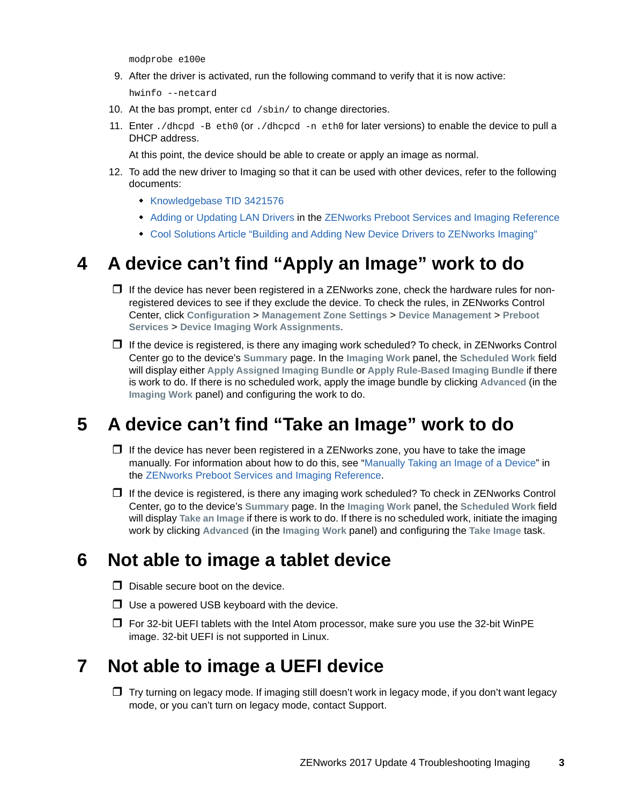modprobe e100e

9. After the driver is activated, run the following command to verify that it is now active:

hwinfo --netcard

- 10. At the bas prompt, enter cd /sbin/ to change directories.
- 11. Enter ./dhcpd -B eth0 (or ./dhcpcd -n eth0 for later versions) to enable the device to pull a DHCP address.

At this point, the device should be able to create or apply an image as normal.

- 12. To add the new driver to Imaging so that it can be used with other devices, refer to the following documents:
	- **[Knowledgebase TID 3421576](https://www.novell.com/support/kb/doc.php?id=3421576)**
	- [Adding or Updating LAN Drivers](https://www.novell.com/documentation/zenworks-2017-update-4/pdfdoc/zen_cm_preboot_imaging/zen_cm_preboot_imaging.pdf#b2cdmbg) in the [ZENworks Preboot Services and Imaging Reference](https://www.novell.com/documentation/zenworks-2017-update-4/pdfdoc/zen_cm_preboot_imaging/zen_cm_preboot_imaging.pdf#bookinfo)
	- [Cool Solutions Article "Building and Adding New Device Drivers to ZENworks Imaging"](https://www.novell.com/communities/coolsolutions/building-adding-new-device-drivers-zenworks-imaging/)

## <span id="page-2-0"></span>**4 A device can't find "Apply an Image" work to do**

- $\Box$  If the device has never been registered in a ZENworks zone, check the hardware rules for nonregistered devices to see if they exclude the device. To check the rules, in ZENworks Control Center, click **Configuration** > **Management Zone Settings** > **Device Management** > **Preboot Services** > **Device Imaging Work Assignments**.
- $\Box$  If the device is registered, is there any imaging work scheduled? To check, in ZENworks Control Center go to the device's **Summary** page. In the **Imaging Work** panel, the **Scheduled Work** field will display either **Apply Assigned Imaging Bundle** or **Apply Rule-Based Imaging Bundle** if there is work to do. If there is no scheduled work, apply the image bundle by clicking **Advanced** (in the **Imaging Work** panel) and configuring the work to do.

### <span id="page-2-1"></span>**5 A device can't find "Take an Image" work to do**

- $\Box$  If the device has never been registered in a ZENworks zone, you have to take the image manually. For information about how to do this, see "[Manually Taking an Image of a Device"](https://www.novell.com/documentation/zenworks-2017-update-4/pdfdoc/zen_cm_preboot_imaging/zen_cm_preboot_imaging.pdf#bvekbv8) in the [ZENworks Preboot Services and Imaging Reference](https://www.novell.com/documentation/zenworks-2017-update-4/pdfdoc/zen_cm_preboot_imaging/zen_cm_preboot_imaging.pdf#bookinfo).
- $\Box$  If the device is registered, is there any imaging work scheduled? To check in ZENworks Control Center, go to the device's **Summary** page. In the **Imaging Work** panel, the **Scheduled Work** field will display **Take an Image** if there is work to do. If there is no scheduled work, initiate the imaging work by clicking **Advanced** (in the **Imaging Work** panel) and configuring the **Take Image** task.

#### <span id="page-2-2"></span>**6 Not able to image a tablet device**

- $\Box$  Disable secure boot on the device.
- $\Box$  Use a powered USB keyboard with the device.
- $\Box$  For 32-bit UEFI tablets with the Intel Atom processor, make sure you use the 32-bit WinPE image. 32-bit UEFI is not supported in Linux.

#### <span id="page-2-3"></span>**7 Not able to image a UEFI device**

 $\Box$  Try turning on legacy mode. If imaging still doesn't work in legacy mode, if you don't want legacy mode, or you can't turn on legacy mode, contact Support.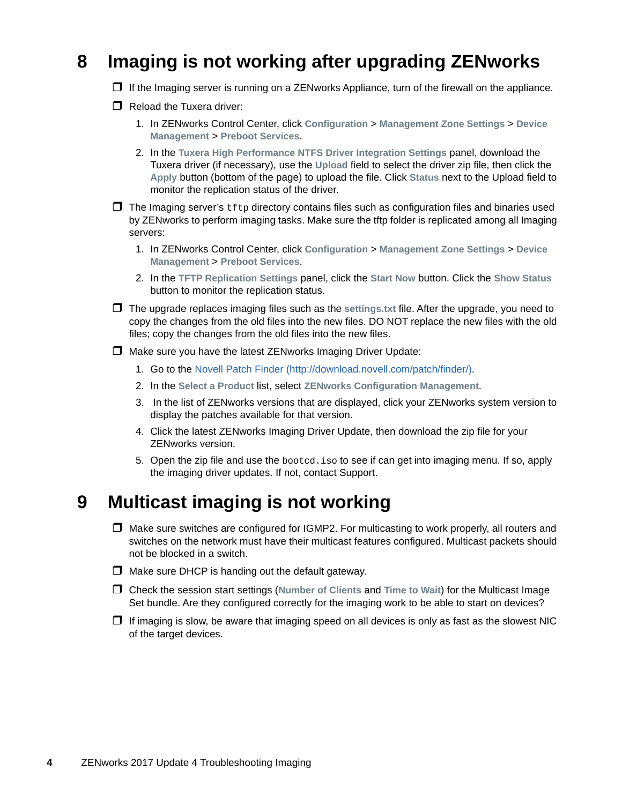# <span id="page-3-0"></span>**8 Imaging is not working after upgrading ZENworks**

- $\Box$  If the Imaging server is running on a ZENworks Appliance, turn of the firewall on the appliance.
- $\Box$  Reload the Tuxera driver:
	- 1. In ZENworks Control Center, click **Configuration** > **Management Zone Settings** > **Device Management** > **Preboot Services**.
	- 2. In the **Tuxera High Performance NTFS Driver Integration Settings** panel, download the Tuxera driver (if necessary), use the **Upload** field to select the driver zip file, then click the **Apply** button (bottom of the page) to upload the file. Click **Status** next to the Upload field to monitor the replication status of the driver.
- $\Box$  The Imaging server's  $\text{tftp}$  directory contains files such as configuration files and binaries used by ZENworks to perform imaging tasks. Make sure the tftp folder is replicated among all Imaging servers:
	- 1. In ZENworks Control Center, click **Configuration** > **Management Zone Settings** > **Device Management** > **Preboot Services**.
	- 2. In the **TFTP Replication Settings** panel, click the **Start Now** button. Click the **Show Status** button to monitor the replication status.
- The upgrade replaces imaging files such as the **settings.txt** file. After the upgrade, you need to copy the changes from the old files into the new files. DO NOT replace the new files with the old files; copy the changes from the old files into the new files.
- Make sure you have the latest ZENworks Imaging Driver Update:
	- 1. Go to the [Novell Patch Finder](http://download.novell.com/patch/finder/) (http://download.novell.com/patch/finder/).
	- 2. In the **Select a Product** list, select **ZENworks Configuration Management**.
	- 3. In the list of ZENworks versions that are displayed, click your ZENworks system version to display the patches available for that version.
	- 4. Click the latest ZENworks Imaging Driver Update, then download the zip file for your ZENworks version.
	- 5. Open the zip file and use the bootcd.iso to see if can get into imaging menu. If so, apply the imaging driver updates. If not, contact Support.

#### <span id="page-3-1"></span>**9 Multicast imaging is not working**

- $\Box$  Make sure switches are configured for IGMP2. For multicasting to work properly, all routers and switches on the network must have their multicast features configured. Multicast packets should not be blocked in a switch.
- $\Box$  Make sure DHCP is handing out the default gateway.
- Check the session start settings (**Number of Clients** and **Time to Wait**) for the Multicast Image Set bundle. Are they configured correctly for the imaging work to be able to start on devices?
- $\Box$  If imaging is slow, be aware that imaging speed on all devices is only as fast as the slowest NIC of the target devices.